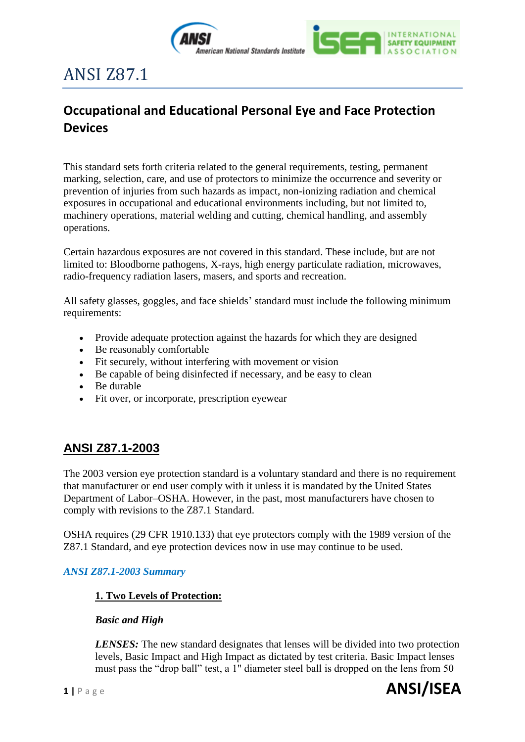

INTERNATIONAL **SAFETY EQUIPMENT** 

# ANSI Z87.1

# **Occupational and Educational Personal Eye and Face Protection Devices**

This standard sets forth criteria related to the general requirements, testing, permanent marking, selection, care, and use of protectors to minimize the occurrence and severity or prevention of injuries from such hazards as impact, non-ionizing radiation and chemical exposures in occupational and educational environments including, but not limited to, machinery operations, material welding and cutting, chemical handling, and assembly operations.

Certain hazardous exposures are not covered in this standard. These include, but are not limited to: Bloodborne pathogens, X-rays, high energy particulate radiation, microwaves, radio-frequency radiation lasers, masers, and sports and recreation.

All safety glasses, goggles, and face shields' standard must include the following minimum requirements:

- Provide adequate protection against the hazards for which they are designed
- Be reasonably comfortable
- Fit securely, without interfering with movement or vision
- Be capable of being disinfected if necessary, and be easy to clean
- Be durable
- Fit over, or incorporate, prescription eyewear

# **ANSI Z87.1-2003**

The 2003 version eye protection standard is a voluntary standard and there is no requirement that manufacturer or end user comply with it unless it is mandated by the United States Department of Labor–OSHA. However, in the past, most manufacturers have chosen to comply with revisions to the Z87.1 Standard.

OSHA requires (29 CFR 1910.133) that eye protectors comply with the 1989 version of the Z87.1 Standard, and eye protection devices now in use may continue to be used.

# *ANSI Z87.1-2003 Summary*

# **1. Two Levels of Protection:**

#### *Basic and High*

*LENSES:* The new standard designates that lenses will be divided into two protection levels, Basic Impact and High Impact as dictated by test criteria. Basic Impact lenses must pass the "drop ball" test, a 1" diameter steel ball is dropped on the lens from 50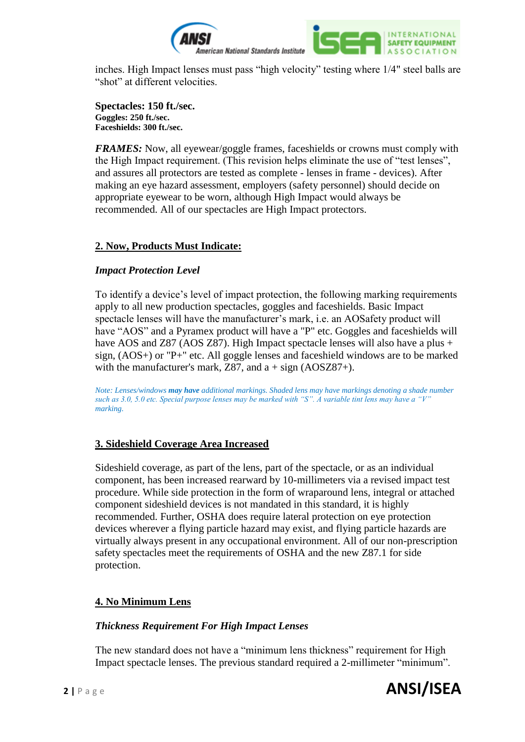

inches. High Impact lenses must pass "high velocity" testing where 1/4" steel balls are "shot" at different velocities.

**Spectacles: 150 ft./sec. Goggles: 250 ft./sec. Faceshields: 300 ft./sec.**

*FRAMES:* Now, all eyewear/goggle frames, faceshields or crowns must comply with the High Impact requirement. (This revision helps eliminate the use of "test lenses", and assures all protectors are tested as complete - lenses in frame - devices). After making an eye hazard assessment, employers (safety personnel) should decide on appropriate eyewear to be worn, although High Impact would always be recommended. All of our spectacles are High Impact protectors.

#### **2. Now, Products Must Indicate:**

#### *Impact Protection Level*

To identify a device's level of impact protection, the following marking requirements apply to all new production spectacles, goggles and faceshields. Basic Impact spectacle lenses will have the manufacturer's mark, i.e. an AOSafety product will have "AOS" and a Pyramex product will have a "P" etc. Goggles and faceshields will have AOS and Z87 (AOS Z87). High Impact spectacle lenses will also have a plus + sign, (AOS+) or "P+" etc. All goggle lenses and faceshield windows are to be marked with the manufacturer's mark, Z87, and  $a + sign (AOSZ87+)$ .

*Note: Lenses/windows may have additional markings. Shaded lens may have markings denoting a shade number such as 3.0, 5.0 etc. Special purpose lenses may be marked with "S". A variable tint lens may have a "V" marking.* 

# **3. Sideshield Coverage Area Increased**

Sideshield coverage, as part of the lens, part of the spectacle, or as an individual component, has been increased rearward by 10-millimeters via a revised impact test procedure. While side protection in the form of wraparound lens, integral or attached component sideshield devices is not mandated in this standard, it is highly recommended. Further, OSHA does require lateral protection on eye protection devices wherever a flying particle hazard may exist, and flying particle hazards are virtually always present in any occupational environment. All of our non-prescription safety spectacles meet the requirements of OSHA and the new Z87.1 for side protection.

# **4. No Minimum Lens**

#### *Thickness Requirement For High Impact Lenses*

The new standard does not have a "minimum lens thickness" requirement for High Impact spectacle lenses. The previous standard required a 2-millimeter "minimum".

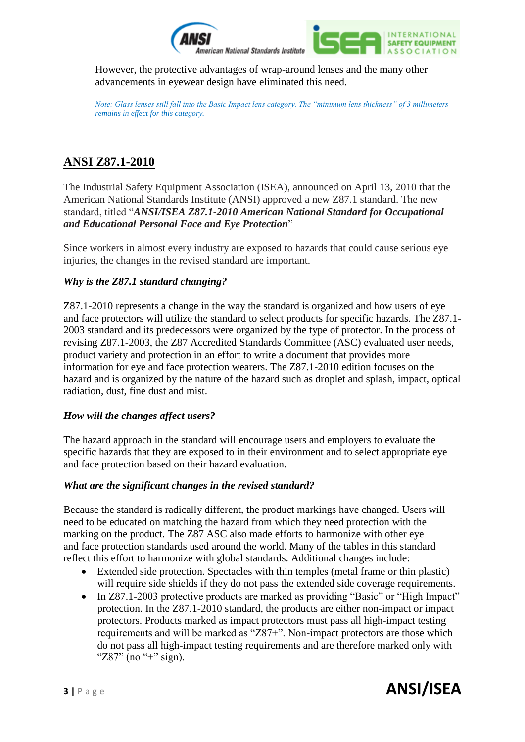

However, the protective advantages of wrap-around lenses and the many other advancements in eyewear design have eliminated this need.

*Note: Glass lenses still fall into the Basic Impact lens category. The "minimum lens thickness" of 3 millimeters remains in effect for this category.*

# **ANSI Z87.1-2010**

The Industrial Safety Equipment Association (ISEA), announced on April 13, 2010 that the American National Standards Institute (ANSI) approved a new Z87.1 standard. The new standard, titled "*ANSI/ISEA Z87.1-2010 American National Standard for Occupational and Educational Personal Face and Eye Protection*"

Since workers in almost every industry are exposed to hazards that could cause serious eye injuries, the changes in the revised standard are important.

# *Why is the Z87.1 standard changing?*

Z87.1-2010 represents a change in the way the standard is organized and how users of eye and face protectors will utilize the standard to select products for specific hazards. The Z87.1- 2003 standard and its predecessors were organized by the type of protector. In the process of revising Z87.1-2003, the Z87 Accredited Standards Committee (ASC) evaluated user needs, product variety and protection in an effort to write a document that provides more information for eye and face protection wearers. The Z87.1-2010 edition focuses on the hazard and is organized by the nature of the hazard such as droplet and splash, impact, optical radiation, dust, fine dust and mist.

#### *How will the changes affect users?*

The hazard approach in the standard will encourage users and employers to evaluate the specific hazards that they are exposed to in their environment and to select appropriate eye and face protection based on their hazard evaluation.

#### *What are the significant changes in the revised standard?*

Because the standard is radically different, the product markings have changed. Users will need to be educated on matching the hazard from which they need protection with the marking on the product. The Z87 ASC also made efforts to harmonize with other eye and face protection standards used around the world. Many of the tables in this standard reflect this effort to harmonize with global standards. Additional changes include:

- Extended side protection. Spectacles with thin temples (metal frame or thin plastic) will require side shields if they do not pass the extended side coverage requirements.
- In Z87.1-2003 protective products are marked as providing "Basic" or "High Impact" protection. In the Z87.1-2010 standard, the products are either non-impact or impact protectors. Products marked as impact protectors must pass all high-impact testing requirements and will be marked as "Z87+". Non-impact protectors are those which do not pass all high-impact testing requirements and are therefore marked only with " $Z87$ " (no "+" sign).